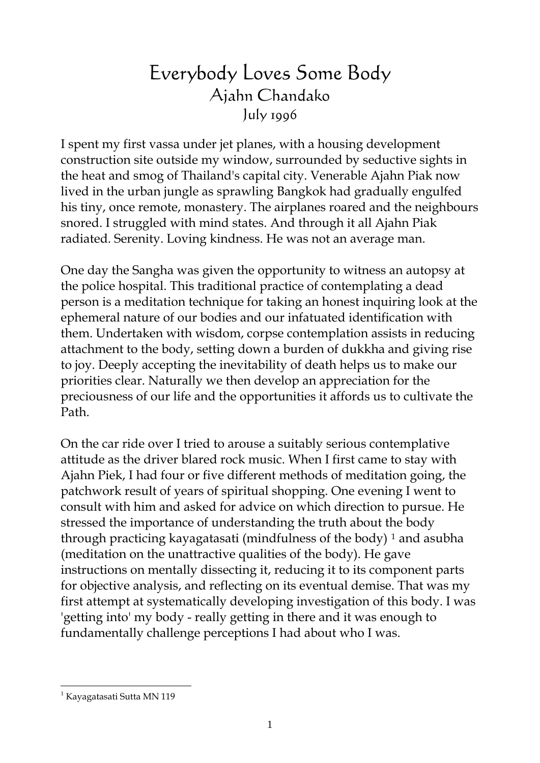## Everybody Loves Some Body Ajahn Chandako July 1996

I spent my first vassa under jet planes, with a housing development construction site outside my window, surrounded by seductive sights in the heat and smog of Thailand's capital city. Venerable Ajahn Piak now lived in the urban jungle as sprawling Bangkok had gradually engulfed his tiny, once remote, monastery. The airplanes roared and the neighbours snored. I struggled with mind states. And through it all Ajahn Piak radiated. Serenity. Loving kindness. He was not an average man.

One day the Sangha was given the opportunity to witness an autopsy at the police hospital. This traditional practice of contemplating a dead person is a meditation technique for taking an honest inquiring look at the ephemeral nature of our bodies and our infatuated identification with them. Undertaken with wisdom, corpse contemplation assists in reducing attachment to the body, setting down a burden of dukkha and giving rise to joy. Deeply accepting the inevitability of death helps us to make our priorities clear. Naturally we then develop an appreciation for the preciousness of our life and the opportunities it affords us to cultivate the Path.

On the car ride over I tried to arouse a suitably serious contemplative attitude as the driver blared rock music. When I first came to stay with Ajahn Piek, I had four or five different methods of meditation going, the patchwork result of years of spiritual shopping. One evening I went to consult with him and asked for advice on which direction to pursue. He stressed the importance of understanding the truth about the body through practicing kayagatasati (mindfulness of the body)  $1$  and asubha (meditation on the unattractive qualities of the body). He gave instructions on mentally dissecting it, reducing it to its component parts for objective analysis, and reflecting on its eventual demise. That was my first attempt at systematically developing investigation of this body. I was 'getting into' my body - really getting in there and it was enough to fundamentally challenge perceptions I had about who I was.

<span id="page-0-0"></span> $\overline{a}$ <sup>1</sup> Kayagatasati Sutta MN 119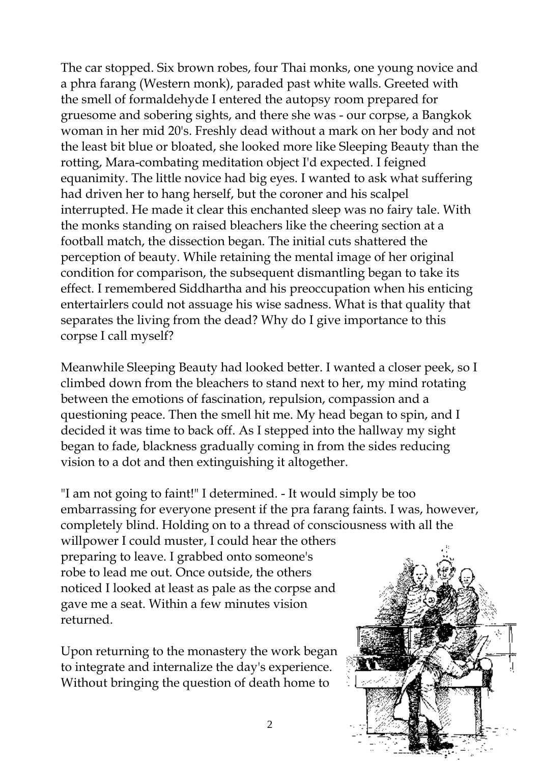The car stopped. Six brown robes, four Thai monks, one young novice and a phra farang (Western monk), paraded past white walls. Greeted with the smell of formaldehyde I entered the autopsy room prepared for gruesome and sobering sights, and there she was - our corpse, a Bangkok woman in her mid 20's. Freshly dead without a mark on her body and not the least bit blue or bloated, she looked more like Sleeping Beauty than the rotting, Mara-combating meditation object I'd expected. I feigned equanimity. The little novice had big eyes. I wanted to ask what suffering had driven her to hang herself, but the coroner and his scalpel interrupted. He made it clear this enchanted sleep was no fairy tale. With the monks standing on raised bleachers like the cheering section at a football match, the dissection began. The initial cuts shattered the perception of beauty. While retaining the mental image of her original condition for comparison, the subsequent dismantling began to take its effect. I remembered Siddhartha and his preoccupation when his enticing entertairlers could not assuage his wise sadness. What is that quality that separates the living from the dead? Why do I give importance to this corpse I call myself?

Meanwhile Sleeping Beauty had looked better. I wanted a closer peek, so I climbed down from the bleachers to stand next to her, my mind rotating between the emotions of fascination, repulsion, compassion and a questioning peace. Then the smell hit me. My head began to spin, and I decided it was time to back off. As I stepped into the hallway my sight began to fade, blackness gradually coming in from the sides reducing vision to a dot and then extinguishing it altogether.

"I am not going to faint!" I determined. - It would simply be too embarrassing for everyone present if the pra farang faints. I was, however, completely blind. Holding on to a thread of consciousness with all the

willpower I could muster, I could hear the others preparing to leave. I grabbed onto someone's robe to lead me out. Once outside, the others noticed I looked at least as pale as the corpse and gave me a seat. Within a few minutes vision returned.

Upon returning to the monastery the work b egan to integrate and internalize the day's experie nce. Without bringing the question of death home to

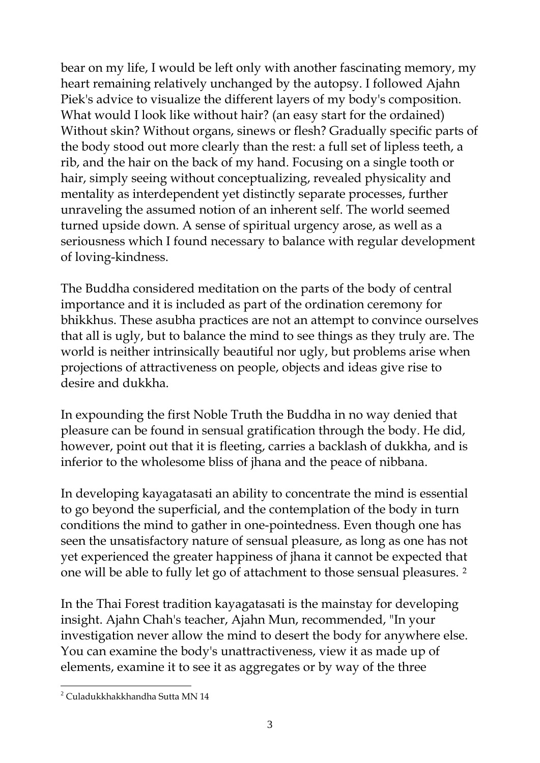bear on my life, I would be left only with another fascinating mem ory, my heart remaining relatively unchanged by the autopsy. I followed Ajahn Piek's advice to visualize the different layers of my body's composition. What would I look like without hair? (an easy start for the ordained) Without skin? Without organs, sinews or flesh? Gradually specific part s of the body stood out more clearly than the rest: a full set of lipless teeth, a rib, and the hair on the back of my hand. Focusing on a single toot h or hair, simply seeing without conceptualizing, revealed physicality and mentality as interdependent yet distinctly separate processes, furthe r unraveling the assumed notion of an inherent self. The world seemed turned upside down. A sense of spiritual urgency arose, as well as a seriousness which I found necessary to balance with regular developme nt of loving-kindness.

The Buddha considered meditation on the parts of the body of central importance and it is included as part of the ordination ceremony for bhikkhus. These asubha practices are not an attempt to convince ourselves that all is ugly, but to balance the mind to see things as they truly are. The world is neither intrinsically beautiful nor ugly, but problems arise when projections of attractiveness on people, objects and ideas give rise to desire and dukkha.

In expounding the first Noble Truth the Buddha in no way denied that pleasure can be found in sensual gratification through the body. He did, however, point out that it is fleeting, carries a backlash of dukkha, and is inferior to the wholesome bliss of jhana and the peace of nibbana.

In developing kayagatasati an ability to concentrate the mind is essential to go beyond the superficial, and the contemplation of the body in turn conditions the mind to gather in one-pointedness. Even though one has seen the unsatisfactory nature of sensual pleasure, as long as one has not yet experienced the greater happiness of jhana it cannot be expected that one will be able to fully let go of attachment to those sensual pleasures. [2](#page-2-0)

In the Thai Forest tradition kayagatasati is the mainstay for developing insight. Ajahn Chah's teacher, Ajahn Mun, recommended, "In your investigation never allow the mind to desert the body for anywhere else. You can examine the body's unattractiveness, view it as made up of elements, examine it to see it as aggregates or by way of the three

<span id="page-2-0"></span> $\overline{a}$ <sup>2</sup> Culadukkhakkhandha Sutta MN 14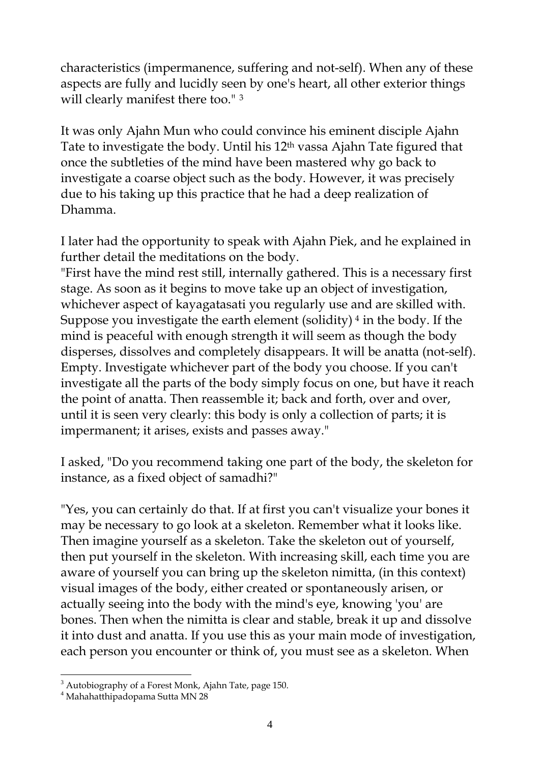characteristics (impermanence, suffering and not-self). When any of these aspects are fully and lucidly seen by one's heart, all other exterior things will clearly manifest there too."<sup>[3](#page-3-0)</sup>

It was only Ajahn Mun who could convince his eminent disciple Ajahn Tate to investigate the body. Until his 12th vassa Ajahn Tate figured that once the subtleties of the mind have been mastered why go back to investigate a coarse object such as the body. However, it was precisely due to his taking up this practice that he had a deep realization of Dhamma.

I later had the opportunity to speak with Ajahn Piek, and he explained in further detail the meditations on the body.

"First have the mind rest still, internally gathered. This is a necessary first stage. As soon as it begins to move take up an object of investigation, whichever aspect of kayagatasati you regularly use and are skilled with. Suppose you investigate the earth element (solidity) [4](#page-3-1) in the body. If the mind is peaceful with enough strength it will seem as though the body disperses, dissolves and completely disappears. It will be anatta (not-self). Empty. Investigate whichever part of the body you choose. If you can't investigate all the parts of the body simply focus on one, but have it reach the point of anatta. Then reassemble it; back and forth, over and over, until it is seen very clearly: this body is only a collection of parts; it is impermanent; it arises, exists and passes away."

I asked, "Do you recommend taking one part of the body, the skeleton for instance, as a fixed object of samadhi?"

"Yes, you can certainly do that. If at first you can't visualize your bones it may be necessary to go look at a skeleton. Remember what it looks like. Then imagine yourself as a skeleton. Take the skeleton out of yourself, then put yourself in the skeleton. With increasing skill, each time you are aware of yourself you can bring up the skeleton nimitta, (in this context) visual images of the body, either created or spontaneously arisen, or actually seeing into the body with the mind's eye, knowing 'you' are bones. Then when the nimitta is clear and stable, break it up and dissolve it into dust and anatta. If you use this as your main mode of investigation, each person you encounter or think of, you must see as a skeleton. When

 $\overline{a}$  $3$  Autobiography of a Forest Monk, Ajahn Tate, page 150.

<span id="page-3-1"></span><span id="page-3-0"></span><sup>4</sup> Mahahatthipadopama Sutta MN 28